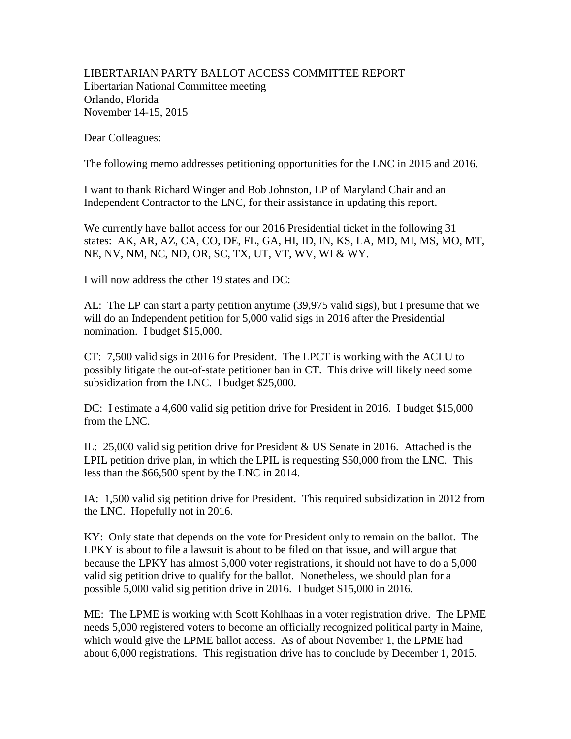## LIBERTARIAN PARTY BALLOT ACCESS COMMITTEE REPORT Libertarian National Committee meeting Orlando, Florida November 14-15, 2015

Dear Colleagues:

The following memo addresses petitioning opportunities for the LNC in 2015 and 2016.

I want to thank Richard Winger and Bob Johnston, LP of Maryland Chair and an Independent Contractor to the LNC, for their assistance in updating this report.

We currently have ballot access for our 2016 Presidential ticket in the following 31 states: AK, AR, AZ, CA, CO, DE, FL, GA, HI, ID, IN, KS, LA, MD, MI, MS, MO, MT, NE, NV, NM, NC, ND, OR, SC, TX, UT, VT, WV, WI & WY.

I will now address the other 19 states and DC:

AL: The LP can start a party petition anytime (39,975 valid sigs), but I presume that we will do an Independent petition for 5,000 valid sigs in 2016 after the Presidential nomination. I budget \$15,000.

CT: 7,500 valid sigs in 2016 for President. The LPCT is working with the ACLU to possibly litigate the out-of-state petitioner ban in CT. This drive will likely need some subsidization from the LNC. I budget \$25,000.

DC: I estimate a 4,600 valid sig petition drive for President in 2016. I budget \$15,000 from the LNC.

IL: 25,000 valid sig petition drive for President & US Senate in 2016. Attached is the LPIL petition drive plan, in which the LPIL is requesting \$50,000 from the LNC. This less than the \$66,500 spent by the LNC in 2014.

IA: 1,500 valid sig petition drive for President. This required subsidization in 2012 from the LNC. Hopefully not in 2016.

KY: Only state that depends on the vote for President only to remain on the ballot. The LPKY is about to file a lawsuit is about to be filed on that issue, and will argue that because the LPKY has almost 5,000 voter registrations, it should not have to do a 5,000 valid sig petition drive to qualify for the ballot. Nonetheless, we should plan for a possible 5,000 valid sig petition drive in 2016. I budget \$15,000 in 2016.

ME: The LPME is working with Scott Kohlhaas in a voter registration drive. The LPME needs 5,000 registered voters to become an officially recognized political party in Maine, which would give the LPME ballot access. As of about November 1, the LPME had about 6,000 registrations. This registration drive has to conclude by December 1, 2015.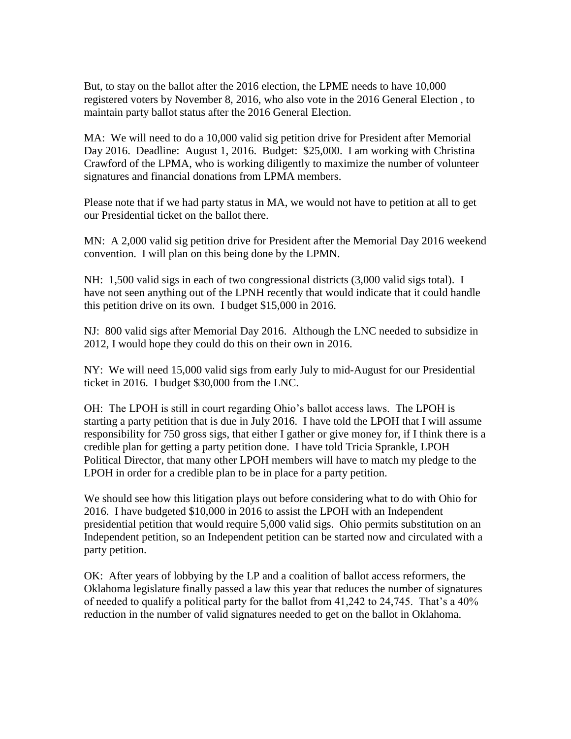But, to stay on the ballot after the 2016 election, the LPME needs to have 10,000 registered voters by November 8, 2016, who also vote in the 2016 General Election , to maintain party ballot status after the 2016 General Election.

MA: We will need to do a 10,000 valid sig petition drive for President after Memorial Day 2016. Deadline: August 1, 2016. Budget: \$25,000. I am working with Christina Crawford of the LPMA, who is working diligently to maximize the number of volunteer signatures and financial donations from LPMA members.

Please note that if we had party status in MA, we would not have to petition at all to get our Presidential ticket on the ballot there.

MN: A 2,000 valid sig petition drive for President after the Memorial Day 2016 weekend convention. I will plan on this being done by the LPMN.

NH: 1,500 valid sigs in each of two congressional districts (3,000 valid sigs total). I have not seen anything out of the LPNH recently that would indicate that it could handle this petition drive on its own. I budget \$15,000 in 2016.

NJ: 800 valid sigs after Memorial Day 2016. Although the LNC needed to subsidize in 2012, I would hope they could do this on their own in 2016.

NY: We will need 15,000 valid sigs from early July to mid-August for our Presidential ticket in 2016. I budget \$30,000 from the LNC.

OH: The LPOH is still in court regarding Ohio's ballot access laws. The LPOH is starting a party petition that is due in July 2016. I have told the LPOH that I will assume responsibility for 750 gross sigs, that either I gather or give money for, if I think there is a credible plan for getting a party petition done. I have told Tricia Sprankle, LPOH Political Director, that many other LPOH members will have to match my pledge to the LPOH in order for a credible plan to be in place for a party petition.

We should see how this litigation plays out before considering what to do with Ohio for 2016. I have budgeted \$10,000 in 2016 to assist the LPOH with an Independent presidential petition that would require 5,000 valid sigs. Ohio permits substitution on an Independent petition, so an Independent petition can be started now and circulated with a party petition.

OK: After years of lobbying by the LP and a coalition of ballot access reformers, the Oklahoma legislature finally passed a law this year that reduces the number of signatures of needed to qualify a political party for the ballot from 41,242 to 24,745. That's a 40% reduction in the number of valid signatures needed to get on the ballot in Oklahoma.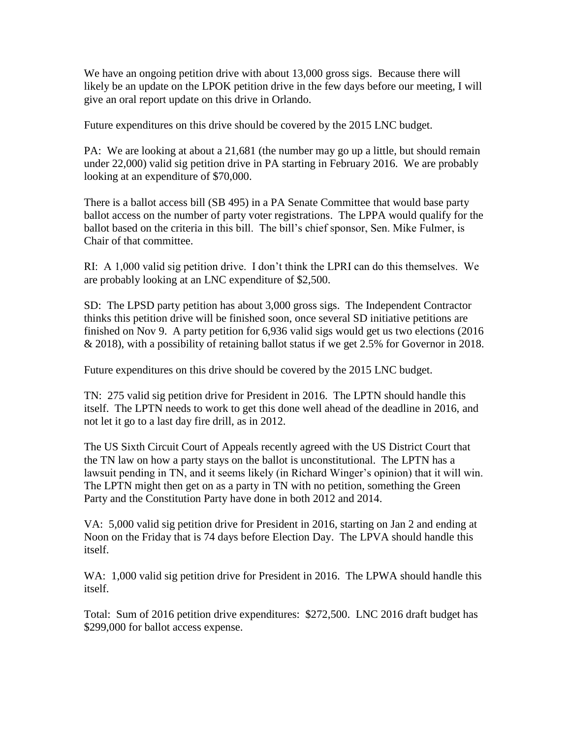We have an ongoing petition drive with about 13,000 gross sigs. Because there will likely be an update on the LPOK petition drive in the few days before our meeting, I will give an oral report update on this drive in Orlando.

Future expenditures on this drive should be covered by the 2015 LNC budget.

PA: We are looking at about a 21,681 (the number may go up a little, but should remain under 22,000) valid sig petition drive in PA starting in February 2016. We are probably looking at an expenditure of \$70,000.

There is a ballot access bill (SB 495) in a PA Senate Committee that would base party ballot access on the number of party voter registrations. The LPPA would qualify for the ballot based on the criteria in this bill. The bill's chief sponsor, Sen. Mike Fulmer, is Chair of that committee.

RI: A 1,000 valid sig petition drive. I don't think the LPRI can do this themselves. We are probably looking at an LNC expenditure of \$2,500.

SD: The LPSD party petition has about 3,000 gross sigs. The Independent Contractor thinks this petition drive will be finished soon, once several SD initiative petitions are finished on Nov 9. A party petition for 6,936 valid sigs would get us two elections (2016 & 2018), with a possibility of retaining ballot status if we get 2.5% for Governor in 2018.

Future expenditures on this drive should be covered by the 2015 LNC budget.

TN: 275 valid sig petition drive for President in 2016. The LPTN should handle this itself. The LPTN needs to work to get this done well ahead of the deadline in 2016, and not let it go to a last day fire drill, as in 2012.

The US Sixth Circuit Court of Appeals recently agreed with the US District Court that the TN law on how a party stays on the ballot is unconstitutional. The LPTN has a lawsuit pending in TN, and it seems likely (in Richard Winger's opinion) that it will win. The LPTN might then get on as a party in TN with no petition, something the Green Party and the Constitution Party have done in both 2012 and 2014.

VA: 5,000 valid sig petition drive for President in 2016, starting on Jan 2 and ending at Noon on the Friday that is 74 days before Election Day. The LPVA should handle this itself.

WA: 1,000 valid sig petition drive for President in 2016. The LPWA should handle this itself.

Total: Sum of 2016 petition drive expenditures: \$272,500. LNC 2016 draft budget has \$299,000 for ballot access expense.